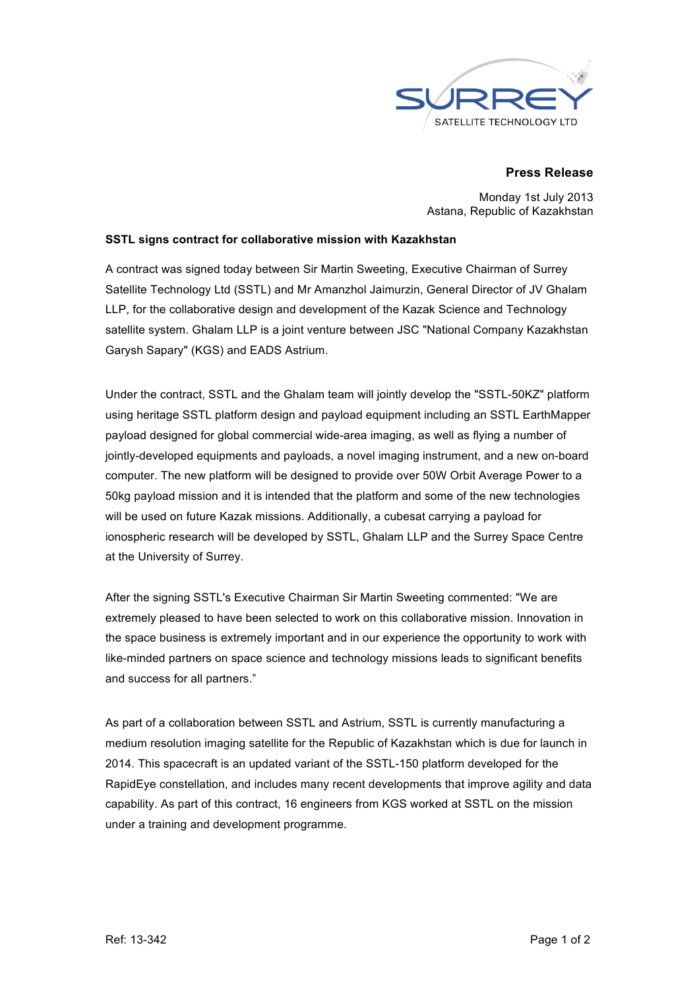

### **Press Release**

Monday 1st July 2013 Astana, Republic of Kazakhstan

#### **SSTL signs contract for collaborative mission with Kazakhstan**

A contract was signed today between Sir Martin Sweeting, Executive Chairman of Surrey Satellite Technology Ltd (SSTL) and Mr Amanzhol Jaimurzin, General Director of JV Ghalam LLP, for the collaborative design and development of the Kazak Science and Technology satellite system. Ghalam LLP is a joint venture between JSC "National Company Kazakhstan Garysh Sapary" (KGS) and EADS Astrium.

Under the contract, SSTL and the Ghalam team will jointly develop the "SSTL-50KZ" platform using heritage SSTL platform design and payload equipment including an SSTL EarthMapper payload designed for global commercial wide-area imaging, as well as flying a number of jointly-developed equipments and payloads, a novel imaging instrument, and a new on-board computer. The new platform will be designed to provide over 50W Orbit Average Power to a 50kg payload mission and it is intended that the platform and some of the new technologies will be used on future Kazak missions. Additionally, a cubesat carrying a payload for ionospheric research will be developed by SSTL, Ghalam LLP and the Surrey Space Centre at the University of Surrey.

After the signing SSTL's Executive Chairman Sir Martin Sweeting commented: "We are extremely pleased to have been selected to work on this collaborative mission. Innovation in the space business is extremely important and in our experience the opportunity to work with like-minded partners on space science and technology missions leads to significant benefits and success for all partners."

As part of a collaboration between SSTL and Astrium, SSTL is currently manufacturing a medium resolution imaging satellite for the Republic of Kazakhstan which is due for launch in 2014. This spacecraft is an updated variant of the SSTL-150 platform developed for the RapidEye constellation, and includes many recent developments that improve agility and data capability. As part of this contract, 16 engineers from KGS worked at SSTL on the mission under a training and development programme.